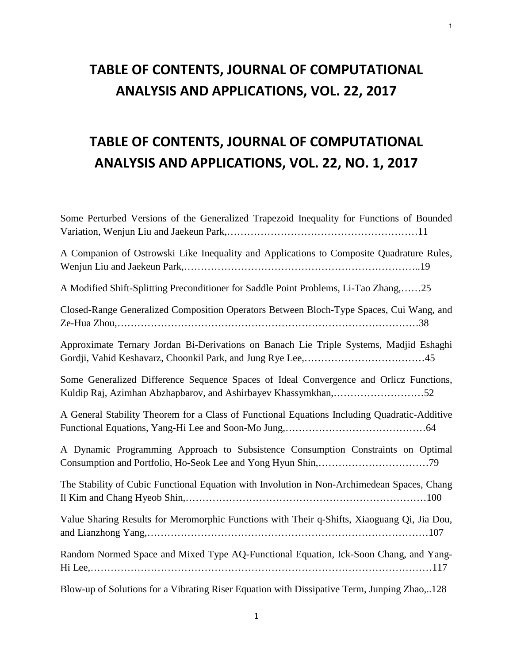### **TABLE OF CONTENTS, JOURNAL OF COMPUTATIONAL ANALYSIS AND APPLICATIONS, VOL. 22, 2017**

1

## **TABLE OF CONTENTS, JOURNAL OF COMPUTATIONAL ANALYSIS AND APPLICATIONS, VOL. 22, NO. 1, 2017**

| Some Perturbed Versions of the Generalized Trapezoid Inequality for Functions of Bounded                                                                 |
|----------------------------------------------------------------------------------------------------------------------------------------------------------|
| A Companion of Ostrowski Like Inequality and Applications to Composite Quadrature Rules,                                                                 |
| A Modified Shift-Splitting Preconditioner for Saddle Point Problems, Li-Tao Zhang,25                                                                     |
| Closed-Range Generalized Composition Operators Between Bloch-Type Spaces, Cui Wang, and                                                                  |
| Approximate Ternary Jordan Bi-Derivations on Banach Lie Triple Systems, Madjid Eshaghi                                                                   |
| Some Generalized Difference Sequence Spaces of Ideal Convergence and Orlicz Functions,<br>Kuldip Raj, Azimhan Abzhapbarov, and Ashirbayev Khassymkhan,52 |
| A General Stability Theorem for a Class of Functional Equations Including Quadratic-Additive                                                             |
| A Dynamic Programming Approach to Subsistence Consumption Constraints on Optimal                                                                         |
| The Stability of Cubic Functional Equation with Involution in Non-Archimedean Spaces, Chang                                                              |
| Value Sharing Results for Meromorphic Functions with Their q-Shifts, Xiaoguang Qi, Jia Dou,                                                              |
| Random Normed Space and Mixed Type AQ-Functional Equation, Ick-Soon Chang, and Yang-                                                                     |
| Blow-up of Solutions for a Vibrating Riser Equation with Dissipative Term, Junping Zhao,128                                                              |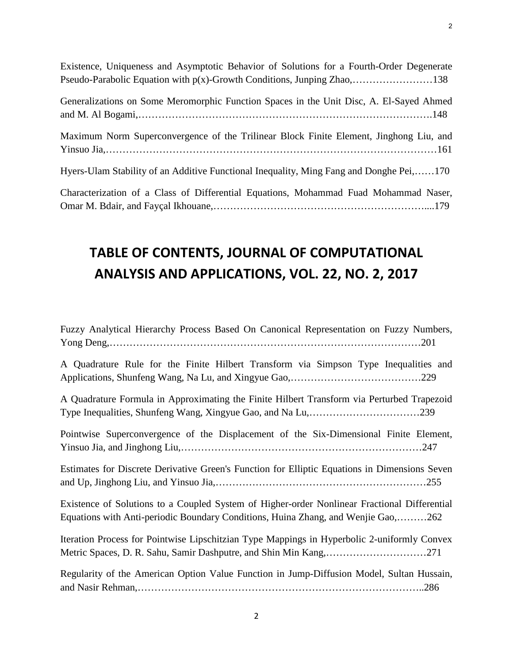Existence, Uniqueness and Asymptotic Behavior of Solutions for a Fourth-Order Degenerate Pseudo-Parabolic Equation with p(x)-Growth Conditions, Junping Zhao,……………………138

Generalizations on Some Meromorphic Function Spaces in the Unit Disc, A. El-Sayed Ahmed and M. Al Bogami,…………………………………………………………………………….148 Maximum Norm Superconvergence of the Trilinear Block Finite Element, Jinghong Liu, and Yinsuo Jia,………………………………………………………………………………………161 Hyers-Ulam Stability of an Additive Functional Inequality, Ming Fang and Donghe Pei,……170

Characterization of a Class of Differential Equations, Mohammad Fuad Mohammad Naser, Omar M. Bdair, and Fayçal Ikhouane,………………………………………………………....179

## **TABLE OF CONTENTS, JOURNAL OF COMPUTATIONAL ANALYSIS AND APPLICATIONS, VOL. 22, NO. 2, 2017**

| Fuzzy Analytical Hierarchy Process Based On Canonical Representation on Fuzzy Numbers,                                                                                            |
|-----------------------------------------------------------------------------------------------------------------------------------------------------------------------------------|
| A Quadrature Rule for the Finite Hilbert Transform via Simpson Type Inequalities and                                                                                              |
| A Quadrature Formula in Approximating the Finite Hilbert Transform via Perturbed Trapezoid                                                                                        |
| Pointwise Superconvergence of the Displacement of the Six-Dimensional Finite Element,                                                                                             |
| Estimates for Discrete Derivative Green's Function for Elliptic Equations in Dimensions Seven                                                                                     |
| Existence of Solutions to a Coupled System of Higher-order Nonlinear Fractional Differential<br>Equations with Anti-periodic Boundary Conditions, Huina Zhang, and Wenjie Gao,262 |
| Iteration Process for Pointwise Lipschitzian Type Mappings in Hyperbolic 2-uniformly Convex<br>Metric Spaces, D. R. Sahu, Samir Dashputre, and Shin Min Kang,271                  |
| Regularity of the American Option Value Function in Jump-Diffusion Model, Sultan Hussain,                                                                                         |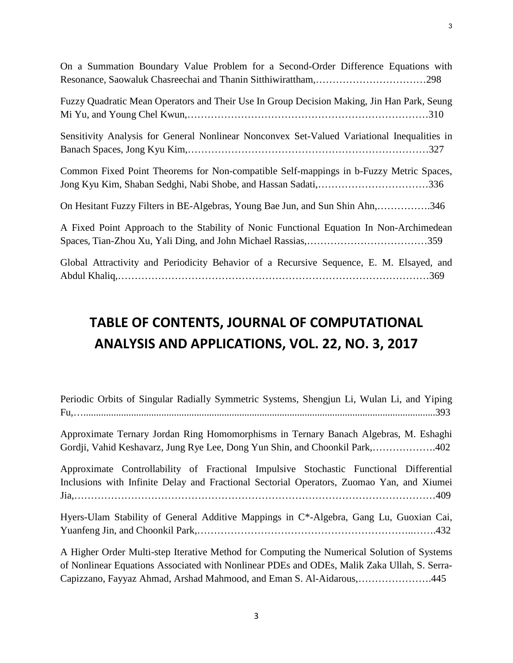| On a Summation Boundary Value Problem for a Second-Order Difference Equations with<br>Resonance, Saowaluk Chasreechai and Thanin Sitthiwirattham,298 |
|------------------------------------------------------------------------------------------------------------------------------------------------------|
| Fuzzy Quadratic Mean Operators and Their Use In Group Decision Making, Jin Han Park, Seung                                                           |
| Sensitivity Analysis for General Nonlinear Nonconvex Set-Valued Variational Inequalities in                                                          |
| Common Fixed Point Theorems for Non-compatible Self-mappings in b-Fuzzy Metric Spaces,                                                               |
| On Hesitant Fuzzy Filters in BE-Algebras, Young Bae Jun, and Sun Shin Ahn,<br>.346                                                                   |
| A Fixed Point Approach to the Stability of Nonic Functional Equation In Non-Archimedean                                                              |
| Global Attractivity and Periodicity Behavior of a Recursive Sequence, E. M. Elsayed, and                                                             |

#### **TABLE OF CONTENTS, JOURNAL OF COMPUTATIONAL ANALYSIS AND APPLICATIONS, VOL. 22, NO. 3, 2017**

Periodic Orbits of Singular Radially Symmetric Systems, Shengjun Li, Wulan Li, and Yiping Fu,…............................................................................................................................................393

Approximate Ternary Jordan Ring Homomorphisms in Ternary Banach Algebras, M. Eshaghi Gordji, Vahid Keshavarz, Jung Rye Lee, Dong Yun Shin, and Choonkil Park,……………….402

Approximate Controllability of Fractional Impulsive Stochastic Functional Differential Inclusions with Infinite Delay and Fractional Sectorial Operators, Zuomao Yan, and Xiumei Jia,………………………………………………………………………………………………409

Hyers-Ulam Stability of General Additive Mappings in C\*-Algebra, Gang Lu, Guoxian Cai, Yuanfeng Jin, and Choonkil Park,………………………………………………………..…….432

A Higher Order Multi-step Iterative Method for Computing the Numerical Solution of Systems of Nonlinear Equations Associated with Nonlinear PDEs and ODEs, Malik Zaka Ullah, S. Serra-Capizzano, Fayyaz Ahmad, Arshad Mahmood, and Eman S. Al-Aidarous,………………….445

3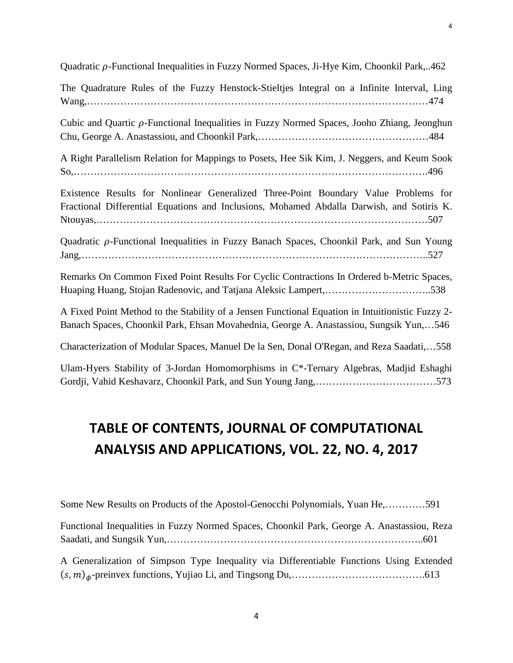Quadratic  $\rho$ -Functional Inequalities in Fuzzy Normed Spaces, Ji-Hye Kim, Choonkil Park,..462

4

The Quadrature Rules of the Fuzzy Henstock-Stieltjes Integral on a Infinite Interval, Ling Wang,…………………………………………………………………………………………474

Cubic and Quartic  $\rho$ -Functional Inequalities in Fuzzy Normed Spaces, Jooho Zhiang, Jeonghun Chu, George A. Anastassiou, and Choonkil Park,……………………………………………484

A Right Parallelism Relation for Mappings to Posets, Hee Sik Kim, J. Neggers, and Keum Sook So,…………………………………………………………………………………………….496

Existence Results for Nonlinear Generalized Three-Point Boundary Value Problems for Fractional Differential Equations and Inclusions, Mohamed Abdalla Darwish, and Sotiris K. Ntouyas,………………………………………………………………………………………507

Quadratic  $\rho$ -Functional Inequalities in Fuzzy Banach Spaces, Choonkil Park, and Sun Young Jang,…………………………………………………………………………………………..527

Remarks On Common Fixed Point Results For Cyclic Contractions In Ordered b-Metric Spaces, Huaping Huang, Stojan Radenovic, and Tatjana Aleksic Lampert,…………………………..538

A Fixed Point Method to the Stability of a Jensen Functional Equation in Intuitionistic Fuzzy 2- Banach Spaces, Choonkil Park, Ehsan Movahednia, George A. Anastassiou, Sungsik Yun,…546

Characterization of Modular Spaces, Manuel De la Sen, Donal O'Regan, and Reza Saadati,…558

Ulam-Hyers Stability of 3-Jordan Homomorphisms in C\*-Ternary Algebras, Madjid Eshaghi Gordji, Vahid Keshavarz, Choonkil Park, and Sun Young Jang,………………………………573

#### **TABLE OF CONTENTS, JOURNAL OF COMPUTATIONAL ANALYSIS AND APPLICATIONS, VOL. 22, NO. 4, 2017**

Some New Results on Products of the Apostol-Genocchi Polynomials, Yuan He,…………591

Functional Inequalities in Fuzzy Normed Spaces, Choonkil Park, George A. Anastassiou, Reza Saadati, and Sungsik Yun,…………………………………………………………………..601

A Generalization of Simpson Type Inequality via Differentiable Functions Using Extended (, )-preinvex functions, Yujiao Li, and Tingsong Du,………………………………….613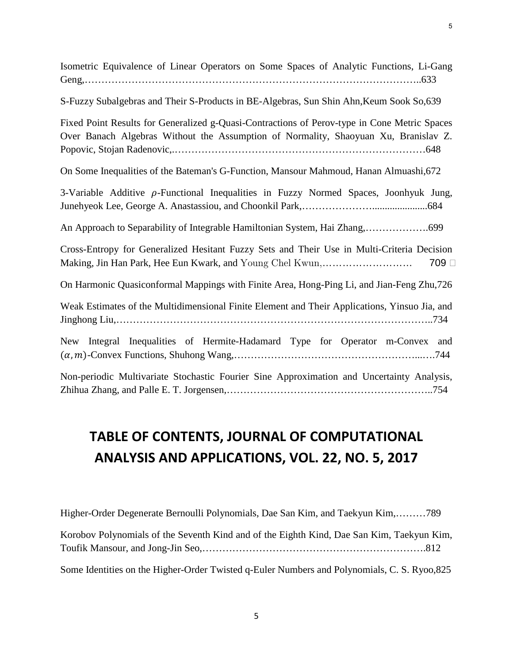5

| S-Fuzzy Subalgebras and Their S-Products in BE-Algebras, Sun Shin Ahn, Keum Sook So, 639                                                                                            |
|-------------------------------------------------------------------------------------------------------------------------------------------------------------------------------------|
| Fixed Point Results for Generalized g-Quasi-Contractions of Perov-type in Cone Metric Spaces<br>Over Banach Algebras Without the Assumption of Normality, Shaoyuan Xu, Branislav Z. |
| On Some Inequalities of the Bateman's G-Function, Mansour Mahmoud, Hanan Almuashi, 672                                                                                              |
| 3-Variable Additive $\rho$ -Functional Inequalities in Fuzzy Normed Spaces, Joonhyuk Jung,                                                                                          |
|                                                                                                                                                                                     |
| Cross-Entropy for Generalized Hesitant Fuzzy Sets and Their Use in Multi-Criteria Decision<br>709 □                                                                                 |
| On Harmonic Quasiconformal Mappings with Finite Area, Hong-Ping Li, and Jian-Feng Zhu, 726                                                                                          |
| Weak Estimates of the Multidimensional Finite Element and Their Applications, Yinsuo Jia, and                                                                                       |
| New Integral Inequalities of Hermite-Hadamard Type for Operator m-Convex and                                                                                                        |
| Non-periodic Multivariate Stochastic Fourier Sine Approximation and Uncertainty Analysis,                                                                                           |

Isometric Equivalence of Linear Operators on Some Spaces of Analytic Functions, Li-Gang

Zhihua Zhang, and Palle E. T. Jorgensen,……………………………………………………..754

## **TABLE OF CONTENTS, JOURNAL OF COMPUTATIONAL ANALYSIS AND APPLICATIONS, VOL. 22, NO. 5, 2017**

Higher-Order Degenerate Bernoulli Polynomials, Dae San Kim, and Taekyun Kim,………789 Korobov Polynomials of the Seventh Kind and of the Eighth Kind, Dae San Kim, Taekyun Kim, Toufik Mansour, and Jong-Jin Seo,………………………………………………………….812 Some Identities on the Higher-Order Twisted q-Euler Numbers and Polynomials, C. S. Ryoo,825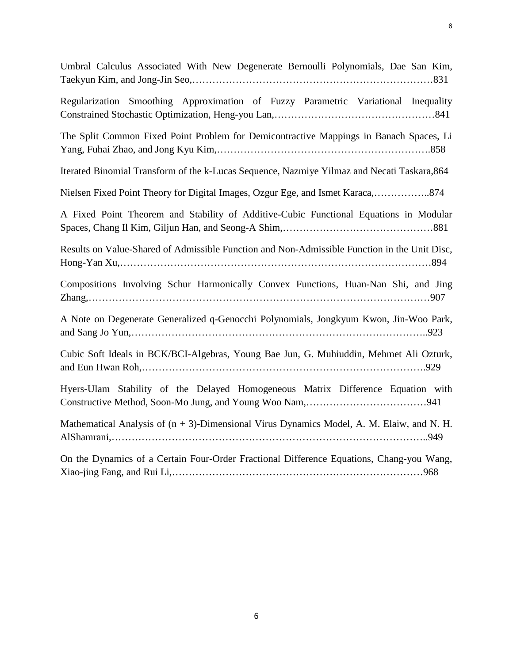| Umbral Calculus Associated With New Degenerate Bernoulli Polynomials, Dae San Kim,           |
|----------------------------------------------------------------------------------------------|
| Regularization Smoothing Approximation of Fuzzy Parametric Variational Inequality            |
| The Split Common Fixed Point Problem for Demicontractive Mappings in Banach Spaces, Li       |
| Iterated Binomial Transform of the k-Lucas Sequence, Nazmiye Yilmaz and Necati Taskara, 864  |
| Nielsen Fixed Point Theory for Digital Images, Ozgur Ege, and Ismet Karaca,874               |
| A Fixed Point Theorem and Stability of Additive-Cubic Functional Equations in Modular        |
| Results on Value-Shared of Admissible Function and Non-Admissible Function in the Unit Disc, |
| Compositions Involving Schur Harmonically Convex Functions, Huan-Nan Shi, and Jing           |
| A Note on Degenerate Generalized q-Genocchi Polynomials, Jongkyum Kwon, Jin-Woo Park,        |
| Cubic Soft Ideals in BCK/BCI-Algebras, Young Bae Jun, G. Muhiuddin, Mehmet Ali Ozturk,       |
| Hyers-Ulam Stability of the Delayed Homogeneous Matrix Difference Equation with              |
| Mathematical Analysis of $(n + 3)$ -Dimensional Virus Dynamics Model, A. M. Elaiw, and N. H. |
| On the Dynamics of a Certain Four-Order Fractional Difference Equations, Chang-you Wang,     |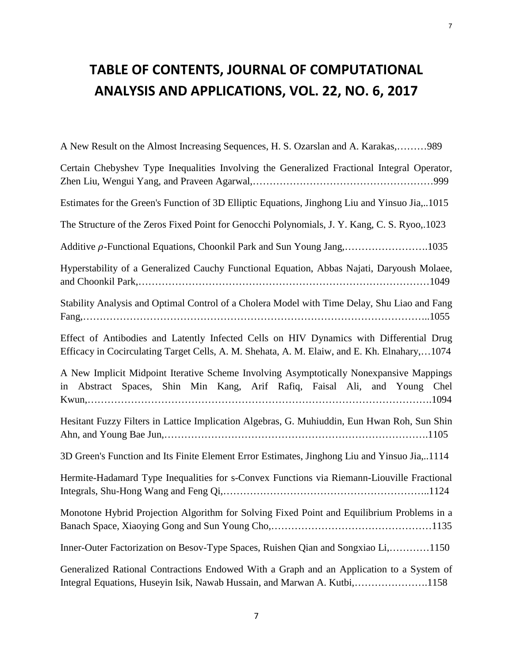# **TABLE OF CONTENTS, JOURNAL OF COMPUTATIONAL ANALYSIS AND APPLICATIONS, VOL. 22, NO. 6, 2017**

| A New Result on the Almost Increasing Sequences, H. S. Ozarslan and A. Karakas,989                                                                                                      |
|-----------------------------------------------------------------------------------------------------------------------------------------------------------------------------------------|
| Certain Chebyshev Type Inequalities Involving the Generalized Fractional Integral Operator,                                                                                             |
| Estimates for the Green's Function of 3D Elliptic Equations, Jinghong Liu and Yinsuo Jia,1015                                                                                           |
| The Structure of the Zeros Fixed Point for Genocchi Polynomials, J. Y. Kang, C. S. Ryoo, 1023                                                                                           |
| Additive $\rho$ -Functional Equations, Choonkil Park and Sun Young Jang,1035                                                                                                            |
| Hyperstability of a Generalized Cauchy Functional Equation, Abbas Najati, Daryoush Molaee,                                                                                              |
| Stability Analysis and Optimal Control of a Cholera Model with Time Delay, Shu Liao and Fang                                                                                            |
| Effect of Antibodies and Latently Infected Cells on HIV Dynamics with Differential Drug<br>Efficacy in Cocirculating Target Cells, A. M. Shehata, A. M. Elaiw, and E. Kh. Elnahary,1074 |
| A New Implicit Midpoint Iterative Scheme Involving Asymptotically Nonexpansive Mappings<br>in Abstract Spaces, Shin Min Kang, Arif Rafiq, Faisal Ali, and Young Chel                    |
| Hesitant Fuzzy Filters in Lattice Implication Algebras, G. Muhiuddin, Eun Hwan Roh, Sun Shin                                                                                            |
| 3D Green's Function and Its Finite Element Error Estimates, Jinghong Liu and Yinsuo Jia,1114                                                                                            |
| Hermite-Hadamard Type Inequalities for s-Convex Functions via Riemann-Liouville Fractional                                                                                              |
| Monotone Hybrid Projection Algorithm for Solving Fixed Point and Equilibrium Problems in a                                                                                              |
| Inner-Outer Factorization on Besov-Type Spaces, Ruishen Qian and Songxiao Li,1150                                                                                                       |
| Generalized Rational Contractions Endowed With a Graph and an Application to a System of<br>Integral Equations, Huseyin Isik, Nawab Hussain, and Marwan A. Kutbi,1158                   |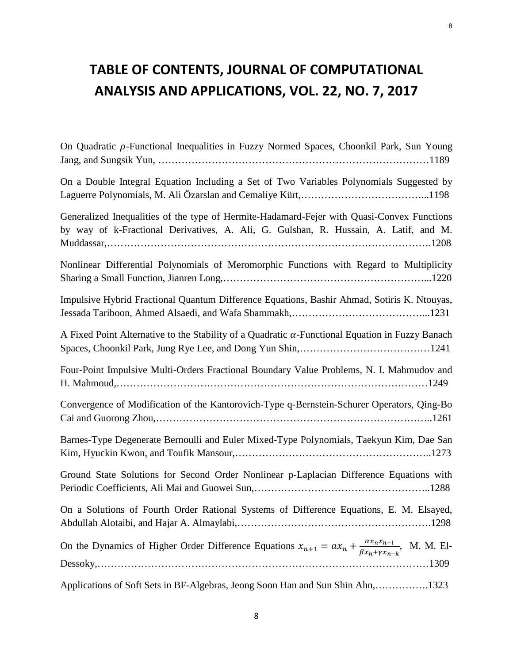# **TABLE OF CONTENTS, JOURNAL OF COMPUTATIONAL ANALYSIS AND APPLICATIONS, VOL. 22, NO. 7, 2017**

| On Quadratic $\rho$ -Functional Inequalities in Fuzzy Normed Spaces, Choonkil Park, Sun Young                                                                                      |
|------------------------------------------------------------------------------------------------------------------------------------------------------------------------------------|
| On a Double Integral Equation Including a Set of Two Variables Polynomials Suggested by                                                                                            |
| Generalized Inequalities of the type of Hermite-Hadamard-Fejer with Quasi-Convex Functions<br>by way of k-Fractional Derivatives, A. Ali, G. Gulshan, R. Hussain, A. Latif, and M. |
| Nonlinear Differential Polynomials of Meromorphic Functions with Regard to Multiplicity                                                                                            |
| Impulsive Hybrid Fractional Quantum Difference Equations, Bashir Ahmad, Sotiris K. Ntouyas,                                                                                        |
| A Fixed Point Alternative to the Stability of a Quadratic $\alpha$ -Functional Equation in Fuzzy Banach                                                                            |
| Four-Point Impulsive Multi-Orders Fractional Boundary Value Problems, N. I. Mahmudov and                                                                                           |
| Convergence of Modification of the Kantorovich-Type q-Bernstein-Schurer Operators, Qing-Bo                                                                                         |
| Barnes-Type Degenerate Bernoulli and Euler Mixed-Type Polynomials, Taekyun Kim, Dae San                                                                                            |
| Ground State Solutions for Second Order Nonlinear p-Laplacian Difference Equations with                                                                                            |
| On a Solutions of Fourth Order Rational Systems of Difference Equations, E. M. Elsayed,                                                                                            |
| On the Dynamics of Higher Order Difference Equations $x_{n+1} = \alpha x_n + \frac{\alpha x_n x_{n-1}}{\beta x_n + \gamma x_{n-k}}$ , M. M. El-                                    |
| Applications of Soft Sets in BF-Algebras, Jeong Soon Han and Sun Shin Ahn,1323                                                                                                     |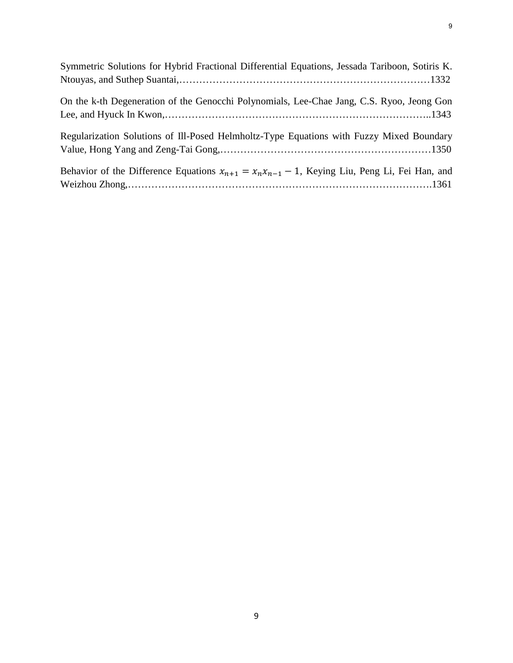| Symmetric Solutions for Hybrid Fractional Differential Equations, Jessada Tariboon, Sotiris K.       |
|------------------------------------------------------------------------------------------------------|
|                                                                                                      |
| On the k-th Degeneration of the Genocchi Polynomials, Lee-Chae Jang, C.S. Ryoo, Jeong Gon            |
| Regularization Solutions of Ill-Posed Helmholtz-Type Equations with Fuzzy Mixed Boundary             |
| Behavior of the Difference Equations $x_{n+1} = x_n x_{n-1} - 1$ , Keying Liu, Peng Li, Fei Han, and |
|                                                                                                      |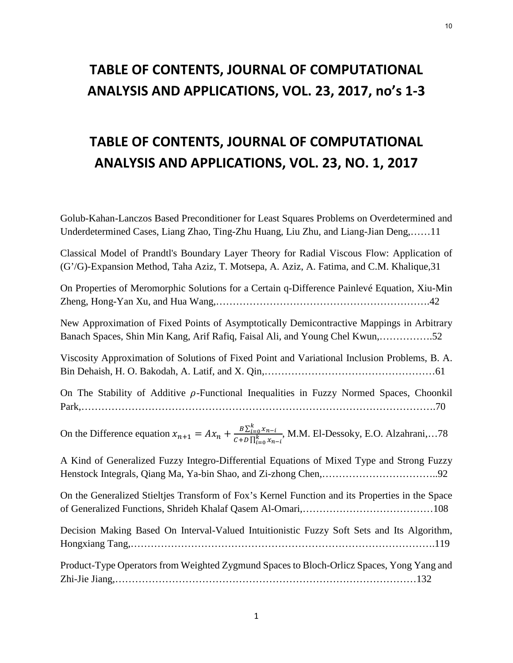### **TABLE OF CONTENTS, JOURNAL OF COMPUTATIONAL ANALYSIS AND APPLICATIONS, VOL. 23, 2017, no's 1-3**

## **TABLE OF CONTENTS, JOURNAL OF COMPUTATIONAL ANALYSIS AND APPLICATIONS, VOL. 23, NO. 1, 2017**

Golub-Kahan-Lanczos Based Preconditioner for Least Squares Problems on Overdetermined and Underdetermined Cases, Liang Zhao, Ting-Zhu Huang, Liu Zhu, and Liang-Jian Deng,……11

Classical Model of Prandtl's Boundary Layer Theory for Radial Viscous Flow: Application of (G'/G)-Expansion Method, Taha Aziz, T. Motsepa, A. Aziz, A. Fatima, and C.M. Khalique,31

On Properties of Meromorphic Solutions for a Certain q-Difference Painlevé Equation, Xiu-Min Zheng, Hong-Yan Xu, and Hua Wang,……………………………………………………….42

New Approximation of Fixed Points of Asymptotically Demicontractive Mappings in Arbitrary Banach Spaces, Shin Min Kang, Arif Rafiq, Faisal Ali, and Young Chel Kwun,…………….52

Viscosity Approximation of Solutions of Fixed Point and Variational Inclusion Problems, B. A. Bin Dehaish, H. O. Bakodah, A. Latif, and X. Qin,……………………………………………61

On The Stability of Additive  $\rho$ -Functional Inequalities in Fuzzy Normed Spaces, Choonkil Park,…………………………………………………………………………………………….70

On the Difference equation  $x_{n+1} = Ax_n + \frac{B \sum_{i=0}^{k} x_{n-i}}{C + D \prod_{i=0}^{k} x_n}$  $c+D\prod_{i=0}^{k}x_{n-i}$ , M.M. El-Dessoky, E.O. Alzahrani,…78

A Kind of Generalized Fuzzy Integro-Differential Equations of Mixed Type and Strong Fuzzy Henstock Integrals, Qiang Ma, Ya-bin Shao, and Zi-zhong Chen,……………………………..92

On the Generalized Stieltjes Transform of Fox's Kernel Function and its Properties in the Space of Generalized Functions, Shrideh Khalaf Qasem Al-Omari,…………………………………108

Decision Making Based On Interval-Valued Intuitionistic Fuzzy Soft Sets and Its Algorithm, Hongxiang Tang,……………………………………………………………………………….119

Product-Type Operators from Weighted Zygmund Spaces to Bloch-Orlicz Spaces, Yong Yang and Zhi-Jie Jiang,………………………………………………………………………………132

1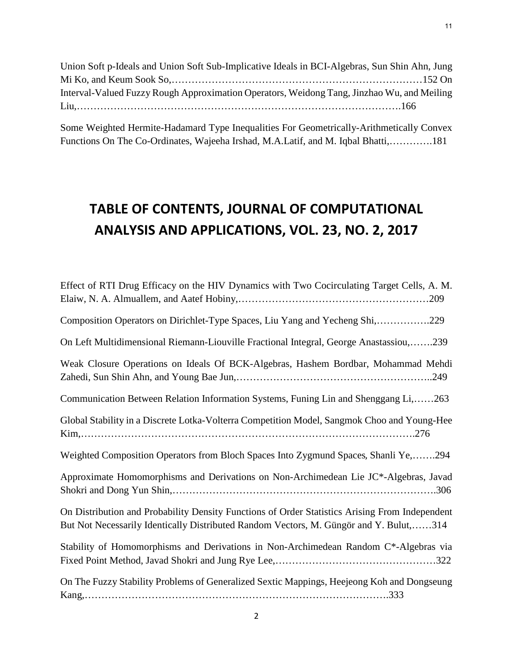| Union Soft p-Ideals and Union Soft Sub-Implicative Ideals in BCI-Algebras, Sun Shin Ahn, Jung |  |
|-----------------------------------------------------------------------------------------------|--|
|                                                                                               |  |
| Interval-Valued Fuzzy Rough Approximation Operators, Weidong Tang, Jinzhao Wu, and Meiling    |  |
|                                                                                               |  |

Some Weighted Hermite-Hadamard Type Inequalities For Geometrically-Arithmetically Convex Functions On The Co-Ordinates, Wajeeha Irshad, M.A.Latif, and M. Iqbal Bhatti,………….181

## **TABLE OF CONTENTS, JOURNAL OF COMPUTATIONAL ANALYSIS AND APPLICATIONS, VOL. 23, NO. 2, 2017**

| Effect of RTI Drug Efficacy on the HIV Dynamics with Two Cocirculating Target Cells, A. M.                                                                                               |
|------------------------------------------------------------------------------------------------------------------------------------------------------------------------------------------|
| Composition Operators on Dirichlet-Type Spaces, Liu Yang and Yecheng Shi,<br>.229                                                                                                        |
| On Left Multidimensional Riemann-Liouville Fractional Integral, George Anastassiou,239                                                                                                   |
| Weak Closure Operations on Ideals Of BCK-Algebras, Hashem Bordbar, Mohammad Mehdi                                                                                                        |
| Communication Between Relation Information Systems, Funing Lin and Shenggang Li,263                                                                                                      |
| Global Stability in a Discrete Lotka-Volterra Competition Model, Sangmok Choo and Young-Hee                                                                                              |
| Weighted Composition Operators from Bloch Spaces Into Zygmund Spaces, Shanli Ye,294                                                                                                      |
| Approximate Homomorphisms and Derivations on Non-Archimedean Lie JC*-Algebras, Javad                                                                                                     |
| On Distribution and Probability Density Functions of Order Statistics Arising From Independent<br>But Not Necessarily Identically Distributed Random Vectors, M. Güngör and Y. Bulut,314 |
| Stability of Homomorphisms and Derivations in Non-Archimedean Random C*-Algebras via                                                                                                     |
| On The Fuzzy Stability Problems of Generalized Sextic Mappings, Heejeong Koh and Dongseung                                                                                               |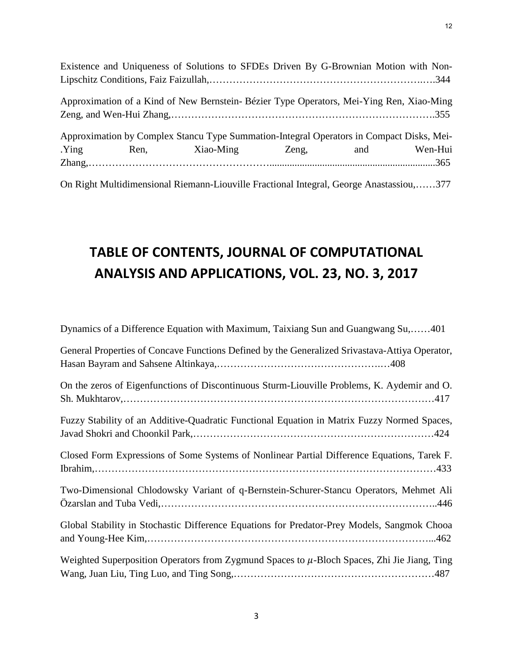|  | Existence and Uniqueness of Solutions to SFDEs Driven By G-Brownian Motion with Non-     |                   |  |
|--|------------------------------------------------------------------------------------------|-------------------|--|
|  |                                                                                          |                   |  |
|  | Approximation of a Kind of New Bernstein- Bézier Type Operators, Mei-Ying Ren, Xiao-Ming |                   |  |
|  |                                                                                          |                   |  |
|  | Approximation by Complex Stancu Type Summation-Integral Operators in Compact Disks, Mei- |                   |  |
|  | Ying Ren, Xiao-Ming                                                                      | Zeng, and Wen-Hui |  |
|  |                                                                                          |                   |  |
|  | On Right Multidimensional Riemann-Liouville Fractional Integral, George Anastassiou,377  |                   |  |

## **TABLE OF CONTENTS, JOURNAL OF COMPUTATIONAL ANALYSIS AND APPLICATIONS, VOL. 23, NO. 3, 2017**

| Dynamics of a Difference Equation with Maximum, Taixiang Sun and Guangwang Su,401                |
|--------------------------------------------------------------------------------------------------|
| General Properties of Concave Functions Defined by the Generalized Srivastava-Attiya Operator,   |
| On the zeros of Eigenfunctions of Discontinuous Sturm-Liouville Problems, K. Aydemir and O.      |
| Fuzzy Stability of an Additive-Quadratic Functional Equation in Matrix Fuzzy Normed Spaces,      |
| Closed Form Expressions of Some Systems of Nonlinear Partial Difference Equations, Tarek F.      |
| Two-Dimensional Chlodowsky Variant of q-Bernstein-Schurer-Stancu Operators, Mehmet Ali           |
| Global Stability in Stochastic Difference Equations for Predator-Prey Models, Sangmok Chooa      |
| Weighted Superposition Operators from Zygmund Spaces to $\mu$ -Bloch Spaces, Zhi Jie Jiang, Ting |